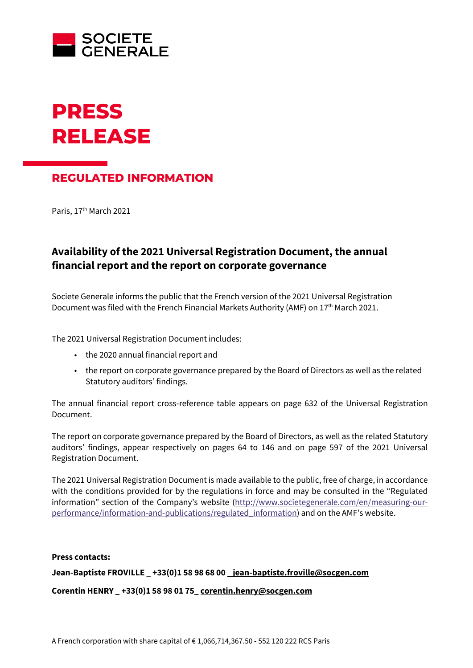



## **REGULATED INFORMATION**

Paris, 17<sup>th</sup> March 2021

## **Availability of the 2021 Universal Registration Document, the annual financial report and the report on corporate governance**

Societe Generale informs the public that the French version of the 2021 Universal Registration Document was filed with the French Financial Markets Authority (AMF) on 17<sup>th</sup> March 2021.

The 2021 Universal Registration Document includes:

- the 2020 annual financial report and
- the report on corporate governance prepared by the Board of Directors as well as the related Statutory auditors' findings.

The annual financial report cross-reference table appears on page 632 of the Universal Registration Document.

The report on corporate governance prepared by the Board of Directors, as well as the related Statutory auditors' findings, appear respectively on pages 64 to 146 and on page 597 of the 2021 Universal Registration Document.

The 2021 Universal Registration Document is made available to the public, free of charge, in accordance with the conditions provided for by the regulations in force and may be consulted in the "Regulated information" section of the Company's website [\(http://www.societegenerale.com/en/measuring-our](http://www.societegenerale.com/en/measuring-our-performance/information-and-publications/regulated_information)[performance/information-and-publications/regulated\\_information\)](http://www.societegenerale.com/en/measuring-our-performance/information-and-publications/regulated_information) and on the AMF's website.

## **Press contacts:**

**Jean-Baptiste FROVILLE \_ +33(0)1 58 98 68 00** \_ **[jean-baptiste.froville@socgen.com](mailto:jean-baptiste.froville@socgen.com)**

**Corentin HENRY \_ +33(0)1 58 98 01 75[\\_ corentin.henry@socgen.com](mailto:corentin.henry@socgen.com)**